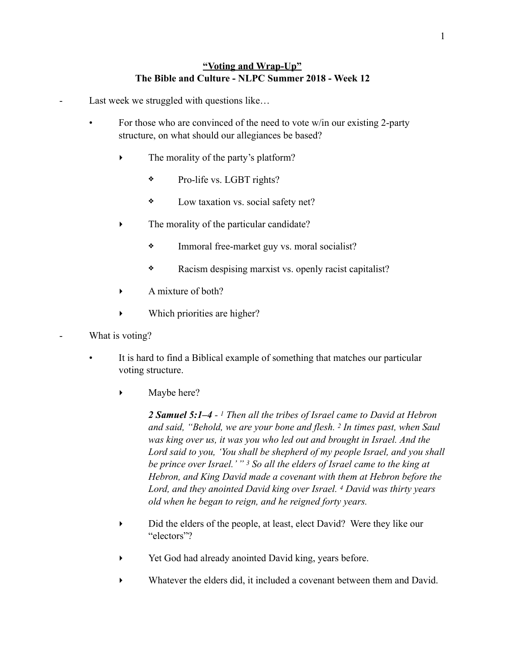## **"Voting and Wrap-Up" The Bible and Culture - NLPC Summer 2018 - Week 12**

Last week we struggled with questions like...

- For those who are convinced of the need to vote w/in our existing 2-party structure, on what should our allegiances be based?
	- The morality of the party's platform?
		- ❖ Pro-life vs. LGBT rights?
		- ❖ Low taxation vs. social safety net?
	- The morality of the particular candidate?
		- ❖ Immoral free-market guy vs. moral socialist?
		- ❖ Racism despising marxist vs. openly racist capitalist?
	- ‣ A mixture of both?
	- Which priorities are higher?
- What is voting?
	- It is hard to find a Biblical example of something that matches our particular voting structure.
		- Maybe here?

*2 Samuel 5:1–4 - 1 Then all the tribes of Israel came to David at Hebron and said, "Behold, we are your bone and flesh. 2 In times past, when Saul was king over us, it was you who led out and brought in Israel. And the Lord said to you, 'You shall be shepherd of my people Israel, and you shall be prince over Israel.' " 3 So all the elders of Israel came to the king at Hebron, and King David made a covenant with them at Hebron before the Lord, and they anointed David king over Israel. 4 David was thirty years old when he began to reign, and he reigned forty years.* 

- ‣ Did the elders of the people, at least, elect David? Were they like our "electors"?
- Yet God had already anointed David king, years before.
- ‣ Whatever the elders did, it included a covenant between them and David.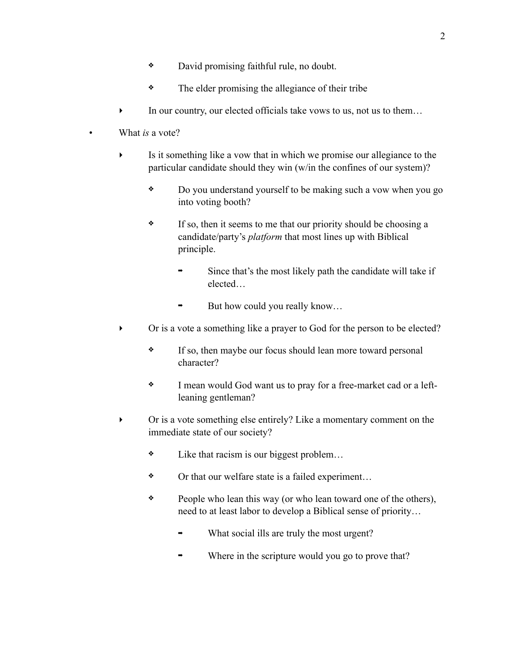- ❖ David promising faithful rule, no doubt.
- ❖ The elder promising the allegiance of their tribe
- In our country, our elected officials take vows to us, not us to them...
- What *is* a vote?
	- ‣ Is it something like a vow that in which we promise our allegiance to the particular candidate should they win (w/in the confines of our system)?
		- ❖ Do you understand yourself to be making such a vow when you go into voting booth?
		- ❖ If so, then it seems to me that our priority should be choosing a candidate/party's *platform* that most lines up with Biblical principle.
			- Since that's the most likely path the candidate will take if elected…
			- $\rightarrow$  But how could you really know...
	- ‣ Or is a vote a something like a prayer to God for the person to be elected?
		- ❖ If so, then maybe our focus should lean more toward personal character?
		- ❖ I mean would God want us to pray for a free-market cad or a leftleaning gentleman?
	- ‣ Or is a vote something else entirely? Like a momentary comment on the immediate state of our society?
		- ❖ Like that racism is our biggest problem…
		- ❖ Or that our welfare state is a failed experiment…
		- ❖ People who lean this way (or who lean toward one of the others), need to at least labor to develop a Biblical sense of priority…
			- What social ills are truly the most urgent?
			- Where in the scripture would you go to prove that?